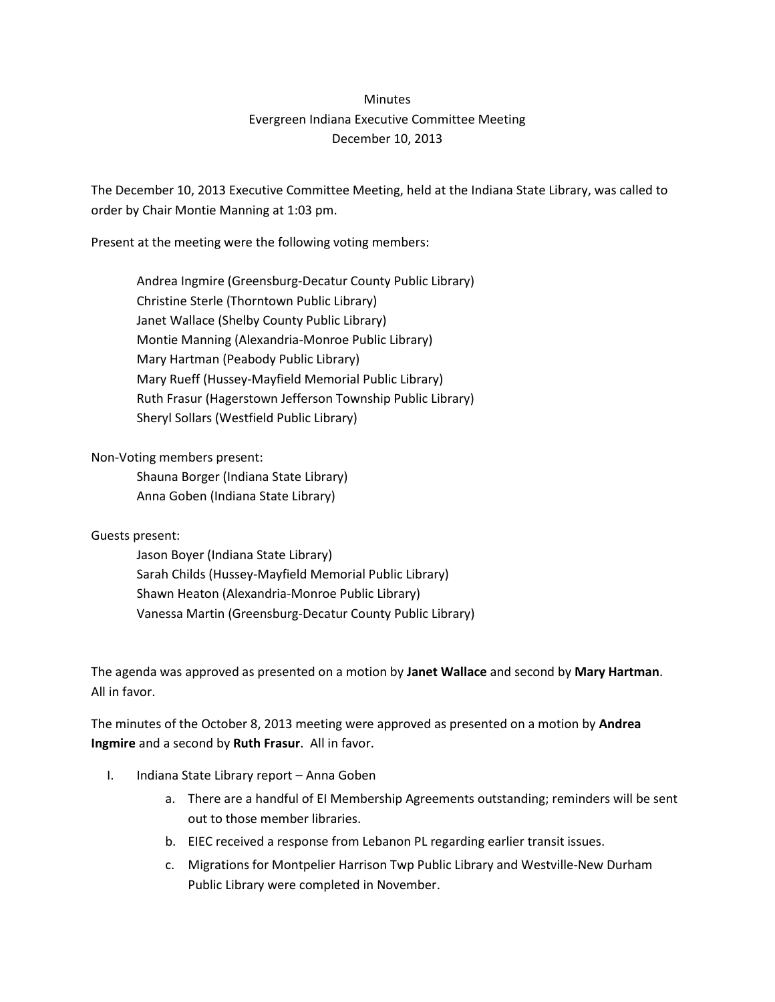## **Minutes** Evergreen Indiana Executive Committee Meeting December 10, 2013

The December 10, 2013 Executive Committee Meeting, held at the Indiana State Library, was called to order by Chair Montie Manning at 1:03 pm.

Present at the meeting were the following voting members:

Andrea Ingmire (Greensburg-Decatur County Public Library) Christine Sterle (Thorntown Public Library) Janet Wallace (Shelby County Public Library) Montie Manning (Alexandria-Monroe Public Library) Mary Hartman (Peabody Public Library) Mary Rueff (Hussey-Mayfield Memorial Public Library) Ruth Frasur (Hagerstown Jefferson Township Public Library) Sheryl Sollars (Westfield Public Library)

Non-Voting members present:

Shauna Borger (Indiana State Library) Anna Goben (Indiana State Library)

Guests present:

Jason Boyer (Indiana State Library) Sarah Childs (Hussey-Mayfield Memorial Public Library) Shawn Heaton (Alexandria-Monroe Public Library) Vanessa Martin (Greensburg-Decatur County Public Library)

The agenda was approved as presented on a motion by **Janet Wallace** and second by **Mary Hartman**. All in favor.

The minutes of the October 8, 2013 meeting were approved as presented on a motion by **Andrea Ingmire** and a second by **Ruth Frasur**. All in favor.

- I. Indiana State Library report Anna Goben
	- a. There are a handful of EI Membership Agreements outstanding; reminders will be sent out to those member libraries.
	- b. EIEC received a response from Lebanon PL regarding earlier transit issues.
	- c. Migrations for Montpelier Harrison Twp Public Library and Westville-New Durham Public Library were completed in November.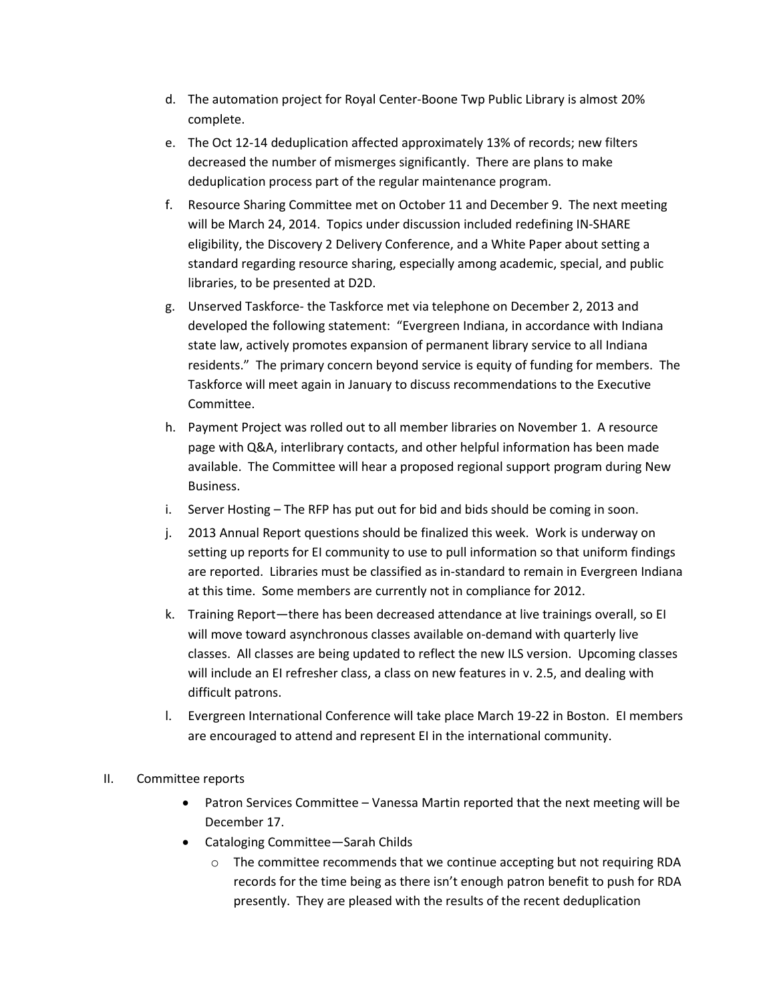- d. The automation project for Royal Center-Boone Twp Public Library is almost 20% complete.
- e. The Oct 12-14 deduplication affected approximately 13% of records; new filters decreased the number of mismerges significantly. There are plans to make deduplication process part of the regular maintenance program.
- f. Resource Sharing Committee met on October 11 and December 9. The next meeting will be March 24, 2014. Topics under discussion included redefining IN-SHARE eligibility, the Discovery 2 Delivery Conference, and a White Paper about setting a standard regarding resource sharing, especially among academic, special, and public libraries, to be presented at D2D.
- g. Unserved Taskforce- the Taskforce met via telephone on December 2, 2013 and developed the following statement: "Evergreen Indiana, in accordance with Indiana state law, actively promotes expansion of permanent library service to all Indiana residents." The primary concern beyond service is equity of funding for members. The Taskforce will meet again in January to discuss recommendations to the Executive Committee.
- h. Payment Project was rolled out to all member libraries on November 1. A resource page with Q&A, interlibrary contacts, and other helpful information has been made available. The Committee will hear a proposed regional support program during New Business.
- i. Server Hosting The RFP has put out for bid and bids should be coming in soon.
- j. 2013 Annual Report questions should be finalized this week. Work is underway on setting up reports for EI community to use to pull information so that uniform findings are reported. Libraries must be classified as in-standard to remain in Evergreen Indiana at this time. Some members are currently not in compliance for 2012.
- k. Training Report—there has been decreased attendance at live trainings overall, so EI will move toward asynchronous classes available on-demand with quarterly live classes. All classes are being updated to reflect the new ILS version. Upcoming classes will include an EI refresher class, a class on new features in v. 2.5, and dealing with difficult patrons.
- l. Evergreen International Conference will take place March 19-22 in Boston. EI members are encouraged to attend and represent EI in the international community.

## II. Committee reports

- Patron Services Committee Vanessa Martin reported that the next meeting will be December 17.
- Cataloging Committee—Sarah Childs
	- o The committee recommends that we continue accepting but not requiring RDA records for the time being as there isn't enough patron benefit to push for RDA presently. They are pleased with the results of the recent deduplication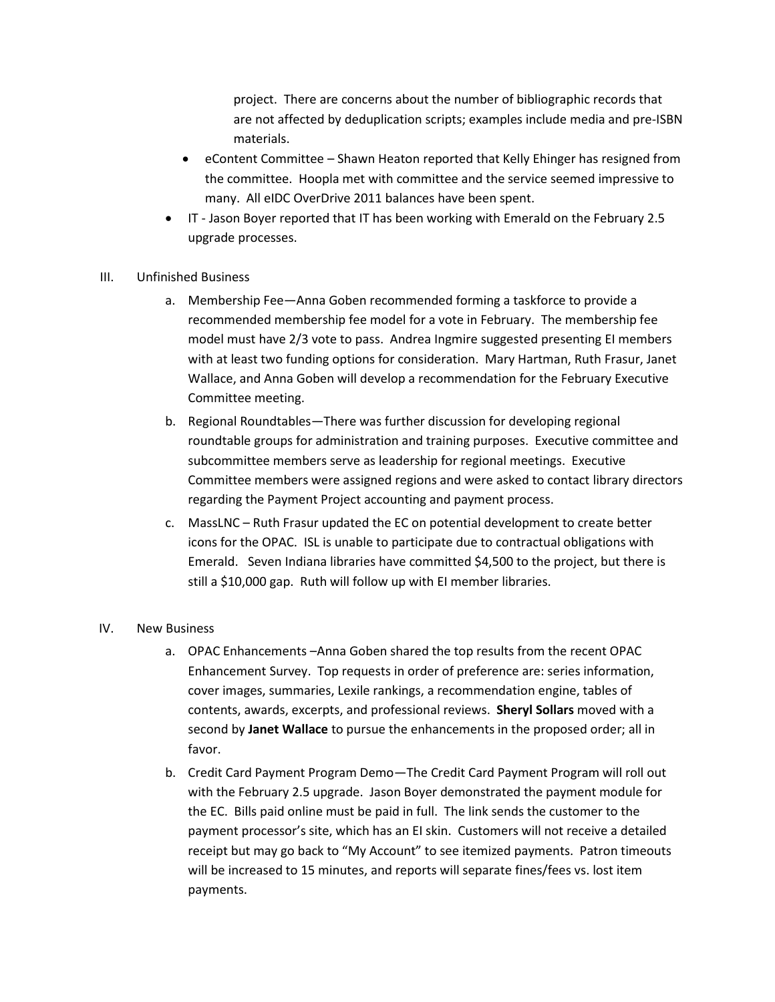project. There are concerns about the number of bibliographic records that are not affected by deduplication scripts; examples include media and pre-ISBN materials.

- eContent Committee Shawn Heaton reported that Kelly Ehinger has resigned from the committee. Hoopla met with committee and the service seemed impressive to many. All eIDC OverDrive 2011 balances have been spent.
- IT Jason Boyer reported that IT has been working with Emerald on the February 2.5 upgrade processes.
- III. Unfinished Business
	- a. Membership Fee—Anna Goben recommended forming a taskforce to provide a recommended membership fee model for a vote in February. The membership fee model must have 2/3 vote to pass. Andrea Ingmire suggested presenting EI members with at least two funding options for consideration. Mary Hartman, Ruth Frasur, Janet Wallace, and Anna Goben will develop a recommendation for the February Executive Committee meeting.
	- b. Regional Roundtables—There was further discussion for developing regional roundtable groups for administration and training purposes. Executive committee and subcommittee members serve as leadership for regional meetings. Executive Committee members were assigned regions and were asked to contact library directors regarding the Payment Project accounting and payment process.
	- c. MassLNC Ruth Frasur updated the EC on potential development to create better icons for the OPAC. ISL is unable to participate due to contractual obligations with Emerald. Seven Indiana libraries have committed \$4,500 to the project, but there is still a \$10,000 gap. Ruth will follow up with EI member libraries.

## IV. New Business

- a. OPAC Enhancements –Anna Goben shared the top results from the recent OPAC Enhancement Survey. Top requests in order of preference are: series information, cover images, summaries, Lexile rankings, a recommendation engine, tables of contents, awards, excerpts, and professional reviews. **Sheryl Sollars** moved with a second by **Janet Wallace** to pursue the enhancements in the proposed order; all in favor.
- b. Credit Card Payment Program Demo—The Credit Card Payment Program will roll out with the February 2.5 upgrade. Jason Boyer demonstrated the payment module for the EC. Bills paid online must be paid in full. The link sends the customer to the payment processor's site, which has an EI skin. Customers will not receive a detailed receipt but may go back to "My Account" to see itemized payments. Patron timeouts will be increased to 15 minutes, and reports will separate fines/fees vs. lost item payments.